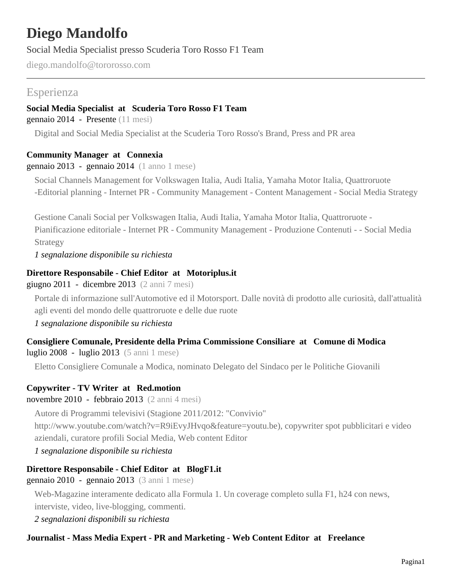# **Diego Mandolfo**

Social Media Specialist presso Scuderia Toro Rosso F1 Team

diego.mandolfo@tororosso.com

# Esperienza

### **Social Media Specialist at Scuderia Toro Rosso F1 Team**

gennaio 2014 - Presente (11 mesi)

Digital and Social Media Specialist at the Scuderia Toro Rosso's Brand, Press and PR area

### **Community Manager at Connexia**

#### gennaio  $2013$  - gennaio  $2014$  (1 anno 1 mese)

Social Channels Management for Volkswagen Italia, Audi Italia, Yamaha Motor Italia, Quattroruote -Editorial planning - Internet PR - Community Management - Content Management - Social Media Strategy

Gestione Canali Social per Volkswagen Italia, Audi Italia, Yamaha Motor Italia, Quattroruote - Pianificazione editoriale - Internet PR - Community Management - Produzione Contenuti - - Social Media Strategy

*1 segnalazione disponibile su richiesta*

### **Direttore Responsabile - Chief Editor at Motoriplus.it**

giugno 2011 - dicembre 2013 (2 anni 7 mesi)

Portale di informazione sull'Automotive ed il Motorsport. Dalle novità di prodotto alle curiosità, dall'attualità agli eventi del mondo delle quattroruote e delle due ruote

*1 segnalazione disponibile su richiesta*

# **Consigliere Comunale, Presidente della Prima Commissione Consiliare at Comune di Modica**

luglio 2008 - luglio 2013 (5 anni 1 mese)

Eletto Consigliere Comunale a Modica, nominato Delegato del Sindaco per le Politiche Giovanili

# **Copywriter - TV Writer at Red.motion**

novembre 2010 - febbraio 2013 (2 anni 4 mesi)

Autore di Programmi televisivi (Stagione 2011/2012: "Convivio"

http://www.youtube.com/watch?v=R9iEvyJHvqo&feature=youtu.be), copywriter spot pubblicitari e video aziendali, curatore profili Social Media, Web content Editor

*1 segnalazione disponibile su richiesta*

# **Direttore Responsabile - Chief Editor at BlogF1.it**

gennaio 2010 - gennaio 2013 (3 anni 1 mese)

Web-Magazine interamente dedicato alla Formula 1. Un coverage completo sulla F1, h24 con news, interviste, video, live-blogging, commenti.

*2 segnalazioni disponibili su richiesta*

# **Journalist - Mass Media Expert - PR and Marketing - Web Content Editor at Freelance**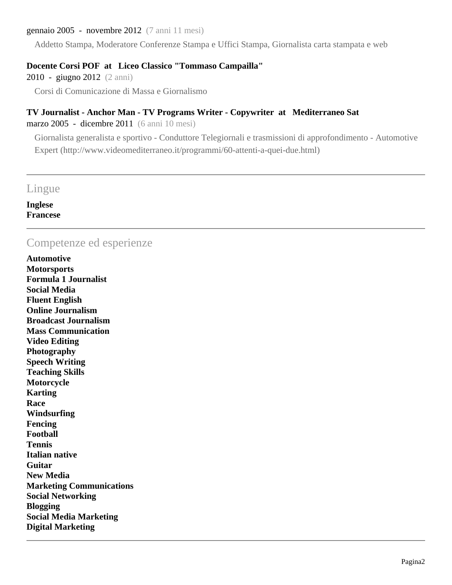#### gennaio 2005 - novembre 2012 (7 anni 11 mesi)

Addetto Stampa, Moderatore Conferenze Stampa e Uffici Stampa, Giornalista carta stampata e web

#### **Docente Corsi POF at Liceo Classico "Tommaso Campailla"**

2010 - giugno 2012 (2 anni)

Corsi di Comunicazione di Massa e Giornalismo

#### **TV Journalist - Anchor Man - TV Programs Writer - Copywriter at Mediterraneo Sat**

marzo 2005 - dicembre 2011 (6 anni 10 mesi)

Giornalista generalista e sportivo - Conduttore Telegiornali e trasmissioni di approfondimento - Automotive Expert (http://www.videomediterraneo.it/programmi/60-attenti-a-quei-due.html)

# Lingue

**Inglese Francese**

# Competenze ed esperienze

**Automotive Motorsports Formula 1 Journalist Social Media Fluent English Online Journalism Broadcast Journalism Mass Communication Video Editing Photography Speech Writing Teaching Skills Motorcycle Karting Race Windsurfing Fencing Football Tennis Italian native Guitar New Media Marketing Communications Social Networking Blogging Social Media Marketing Digital Marketing**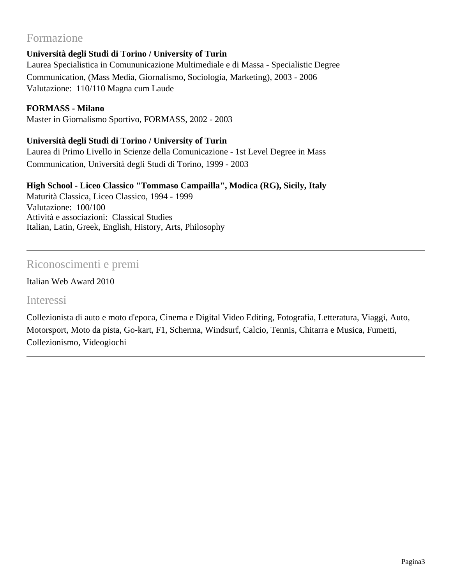# Formazione

# **Università degli Studi di Torino / University of Turin**

Laurea Specialistica in Comununicazione Multimediale e di Massa - Specialistic Degree Communication, (Mass Media, Giornalismo, Sociologia, Marketing), 2003 - 2006 Valutazione: 110/110 Magna cum Laude

# **FORMASS - Milano**

Master in Giornalismo Sportivo, FORMASS, 2002 - 2003

# **Università degli Studi di Torino / University of Turin**

Laurea di Primo Livello in Scienze della Comunicazione - 1st Level Degree in Mass Communication, Università degli Studi di Torino, 1999 - 2003

# **High School - Liceo Classico "Tommaso Campailla", Modica (RG), Sicily, Italy**

Maturità Classica, Liceo Classico, 1994 - 1999 Valutazione: 100/100 Attività e associazioni: Classical Studies Italian, Latin, Greek, English, History, Arts, Philosophy

# Riconoscimenti e premi

# Italian Web Award 2010

#### Interessi

Collezionista di auto e moto d'epoca, Cinema e Digital Video Editing, Fotografia, Letteratura, Viaggi, Auto, Motorsport, Moto da pista, Go-kart, F1, Scherma, Windsurf, Calcio, Tennis, Chitarra e Musica, Fumetti, Collezionismo, Videogiochi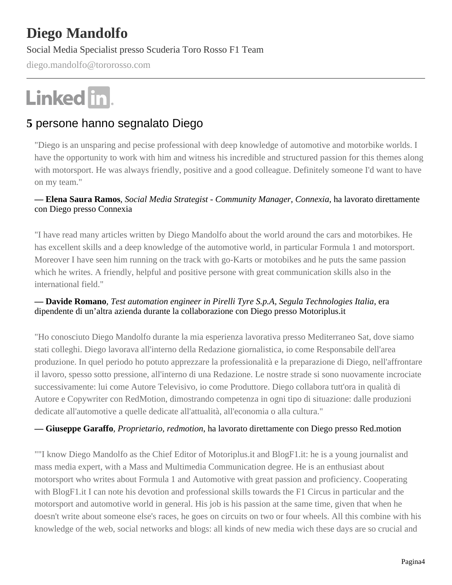# **Diego Mandolfo**

Social Media Specialist presso Scuderia Toro Rosso F1 Team

diego.mandolfo@tororosso.com

# Linked in.

# **5** persone hanno segnalato Diego

"Diego is an unsparing and pecise professional with deep knowledge of automotive and motorbike worlds. I have the opportunity to work with him and witness his incredible and structured passion for this themes along with motorsport. He was always friendly, positive and a good colleague. Definitely someone I'd want to have on my team."

#### **— Elena Saura Ramos***, Social Media Strategist - Community Manager, Connexia*, ha lavorato direttamente con Diego presso Connexia

"I have read many articles written by Diego Mandolfo about the world around the cars and motorbikes. He has excellent skills and a deep knowledge of the automotive world, in particular Formula 1 and motorsport. Moreover I have seen him running on the track with go-Karts or motobikes and he puts the same passion which he writes. A friendly, helpful and positive persone with great communication skills also in the international field."

#### **— Davide Romano***, Test automation engineer in Pirelli Tyre S.p.A, Segula Technologies Italia*, era dipendente di un'altra azienda durante la collaborazione con Diego presso Motoriplus.it

"Ho conosciuto Diego Mandolfo durante la mia esperienza lavorativa presso Mediterraneo Sat, dove siamo stati colleghi. Diego lavorava all'interno della Redazione giornalistica, io come Responsabile dell'area produzione. In quel periodo ho potuto apprezzare la professionalità e la preparazione di Diego, nell'affrontare il lavoro, spesso sotto pressione, all'interno di una Redazione. Le nostre strade si sono nuovamente incrociate successivamente: lui come Autore Televisivo, io come Produttore. Diego collabora tutt'ora in qualità di Autore e Copywriter con RedMotion, dimostrando competenza in ogni tipo di situazione: dalle produzioni dedicate all'automotive a quelle dedicate all'attualità, all'economia o alla cultura."

#### **— Giuseppe Garaffo***, Proprietario, redmotion*, ha lavorato direttamente con Diego presso Red.motion

""I know Diego Mandolfo as the Chief Editor of Motoriplus.it and BlogF1.it: he is a young journalist and mass media expert, with a Mass and Multimedia Communication degree. He is an enthusiast about motorsport who writes about Formula 1 and Automotive with great passion and proficiency. Cooperating with BlogF1.it I can note his devotion and professional skills towards the F1 Circus in particular and the motorsport and automotive world in general. His job is his passion at the same time, given that when he doesn't write about someone else's races, he goes on circuits on two or four wheels. All this combine with his knowledge of the web, social networks and blogs: all kinds of new media wich these days are so crucial and